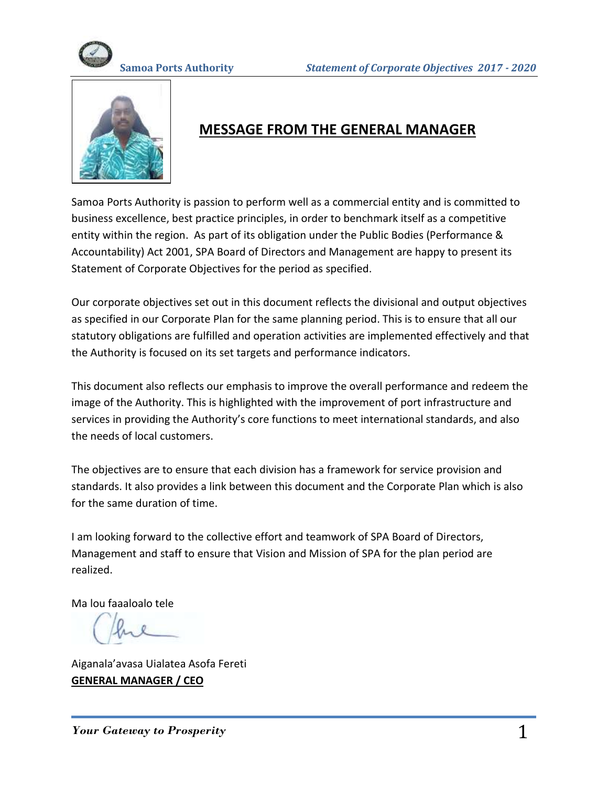



# **MESSAGE FROM THE GENERAL MANAGER**

Samoa Ports Authority is passion to perform well as a commercial entity and is committed to business excellence, best practice principles, in order to benchmark itself as a competitive entity within the region. As part of its obligation under the Public Bodies (Performance & Accountability) Act 2001, SPA Board of Directors and Management are happy to present its Statement of Corporate Objectives for the period as specified.

Our corporate objectives set out in this document reflects the divisional and output objectives as specified in our Corporate Plan for the same planning period. This is to ensure that all our statutory obligations are fulfilled and operation activities are implemented effectively and that the Authority is focused on its set targets and performance indicators.

This document also reflects our emphasis to improve the overall performance and redeem the image of the Authority. This is highlighted with the improvement of port infrastructure and services in providing the Authority's core functions to meet international standards, and also the needs of local customers.

The objectives are to ensure that each division has a framework for service provision and standards. It also provides a link between this document and the Corporate Plan which is also for the same duration of time.

I am looking forward to the collective effort and teamwork of SPA Board of Directors, Management and staff to ensure that Vision and Mission of SPA for the plan period are realized.

Ma lou faaaloalo tele

Aiganala'avasa Uialatea Asofa Fereti **GENERAL MANAGER / CEO**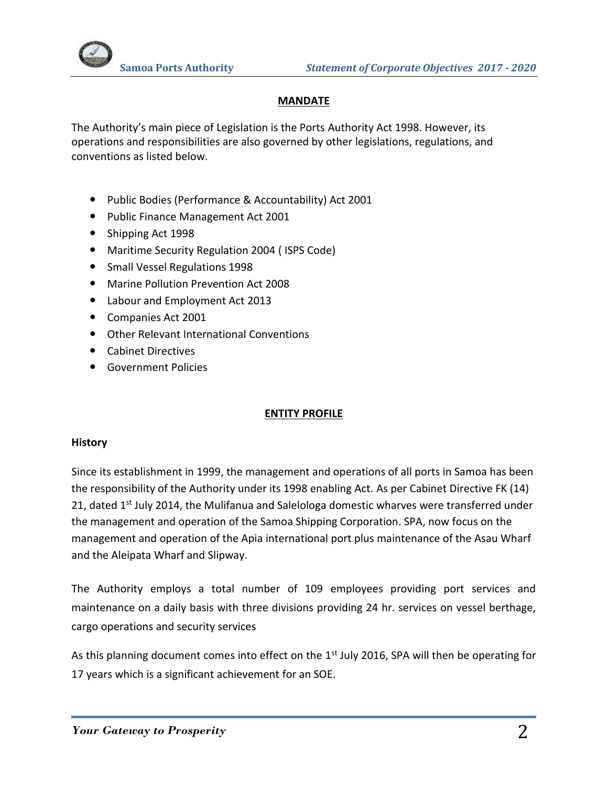

# **MANDATE**

The Authority's main piece of Legislation is the Ports Authority Act 1998. However, its operations and responsibilities are also governed by other legislations, regulations, and conventions as listed below.

- Public Bodies (Performance & Accountability) Act 2001
- Public Finance Management Act 2001
- Shipping Act 1998
- Maritime Security Regulation 2004 ( ISPS Code)
- Small Vessel Regulations 1998
- Marine Pollution Prevention Act 2008
- Labour and Employment Act 2013
- Companies Act 2001
- Other Relevant International Conventions
- Cabinet Directives
- Government Policies

## **ENTITY PROFILE**

### **History**

Since its establishment in 1999, the management and operations of all ports in Samoa has been the responsibility of the Authority under its 1998 enabling Act. As per Cabinet Directive FK (14) 21, dated 1<sup>st</sup> July 2014, the Mulifanua and Salelologa domestic wharves were transferred under the management and operation of the Samoa Shipping Corporation. SPA, now focus on the management and operation of the Apia international port plus maintenance of the Asau Wharf and the Aleipata Wharf and Slipway.

The Authority employs a total number of 109 employees providing port services and maintenance on a daily basis with three divisions providing 24 hr. services on vessel berthage, cargo operations and security services

As this planning document comes into effect on the 1<sup>st</sup> July 2016, SPA will then be operating for 17 years which is a significant achievement for an SOE.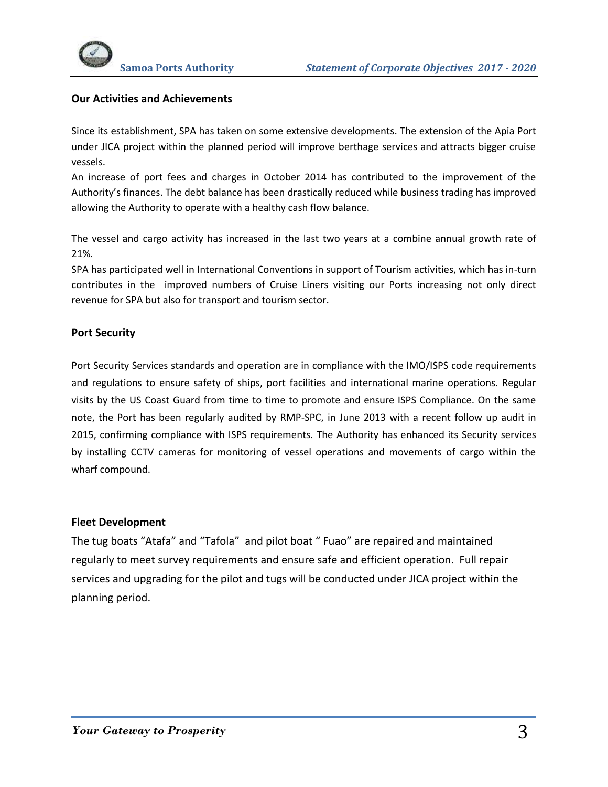

#### **Our Activities and Achievements**

Since its establishment, SPA has taken on some extensive developments. The extension of the Apia Port under JICA project within the planned period will improve berthage services and attracts bigger cruise vessels.

An increase of port fees and charges in October 2014 has contributed to the improvement of the Authority's finances. The debt balance has been drastically reduced while business trading has improved allowing the Authority to operate with a healthy cash flow balance.

The vessel and cargo activity has increased in the last two years at a combine annual growth rate of 21%.

SPA has participated well in International Conventions in support of Tourism activities, which has in-turn contributes in the improved numbers of Cruise Liners visiting our Ports increasing not only direct revenue for SPA but also for transport and tourism sector.

#### **Port Security**

Port Security Services standards and operation are in compliance with the IMO/ISPS code requirements and regulations to ensure safety of ships, port facilities and international marine operations. Regular visits by the US Coast Guard from time to time to promote and ensure ISPS Compliance. On the same note, the Port has been regularly audited by RMP-SPC, in June 2013 with a recent follow up audit in 2015, confirming compliance with ISPS requirements. The Authority has enhanced its Security services by installing CCTV cameras for monitoring of vessel operations and movements of cargo within the wharf compound.

#### **Fleet Development**

The tug boats "Atafa" and "Tafola" and pilot boat " Fuao" are repaired and maintained regularly to meet survey requirements and ensure safe and efficient operation. Full repair services and upgrading for the pilot and tugs will be conducted under JICA project within the planning period.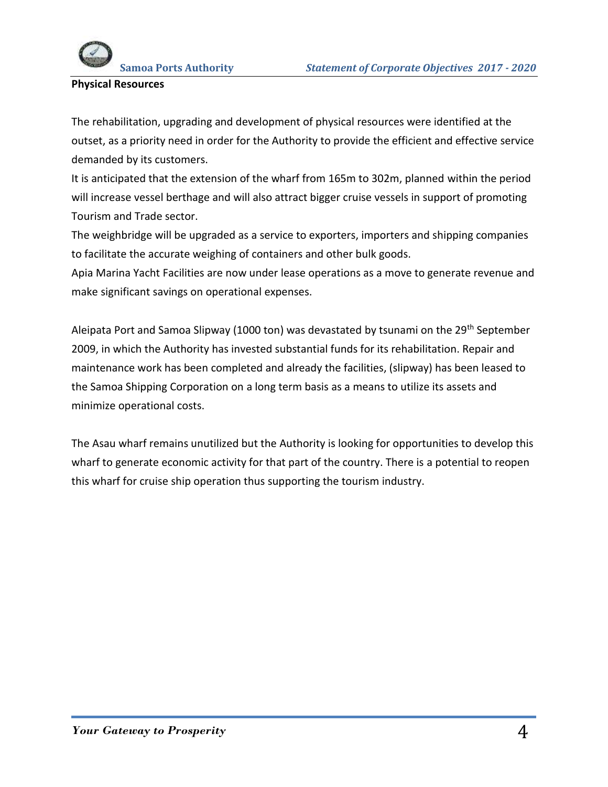

## **Physical Resources**

The rehabilitation, upgrading and development of physical resources were identified at the outset, as a priority need in order for the Authority to provide the efficient and effective service demanded by its customers.

It is anticipated that the extension of the wharf from 165m to 302m, planned within the period will increase vessel berthage and will also attract bigger cruise vessels in support of promoting Tourism and Trade sector.

The weighbridge will be upgraded as a service to exporters, importers and shipping companies to facilitate the accurate weighing of containers and other bulk goods.

Apia Marina Yacht Facilities are now under lease operations as a move to generate revenue and make significant savings on operational expenses.

Aleipata Port and Samoa Slipway (1000 ton) was devastated by tsunami on the 29<sup>th</sup> September 2009, in which the Authority has invested substantial funds for its rehabilitation. Repair and maintenance work has been completed and already the facilities, (slipway) has been leased to the Samoa Shipping Corporation on a long term basis as a means to utilize its assets and minimize operational costs.

The Asau wharf remains unutilized but the Authority is looking for opportunities to develop this wharf to generate economic activity for that part of the country. There is a potential to reopen this wharf for cruise ship operation thus supporting the tourism industry.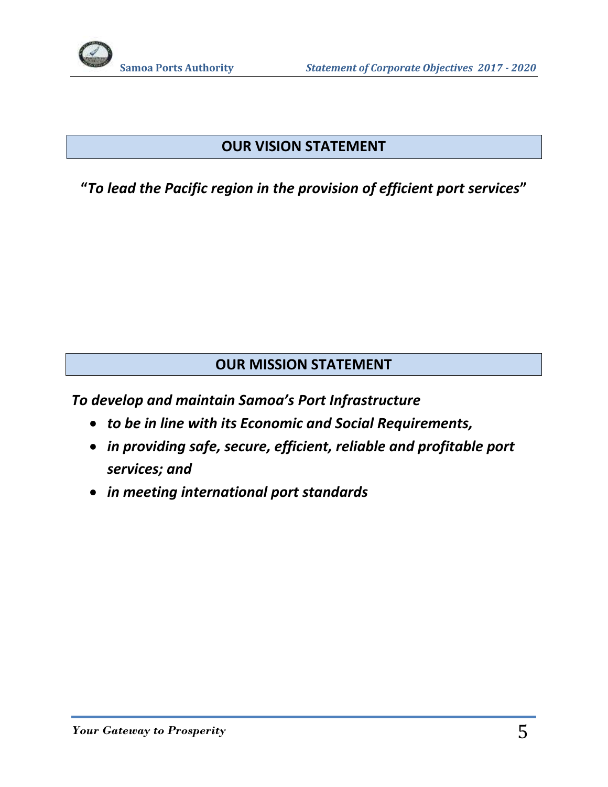# **OUR VISION STATEMENT**

**"***To lead the Pacific region in the provision of efficient port services***"**

# **OUR MISSION STATEMENT**

*To develop and maintain Samoa's Port Infrastructure* 

- *to be in line with its Economic and Social Requirements,*
- *in providing safe, secure, efficient, reliable and profitable port services; and*
- *in meeting international port standards*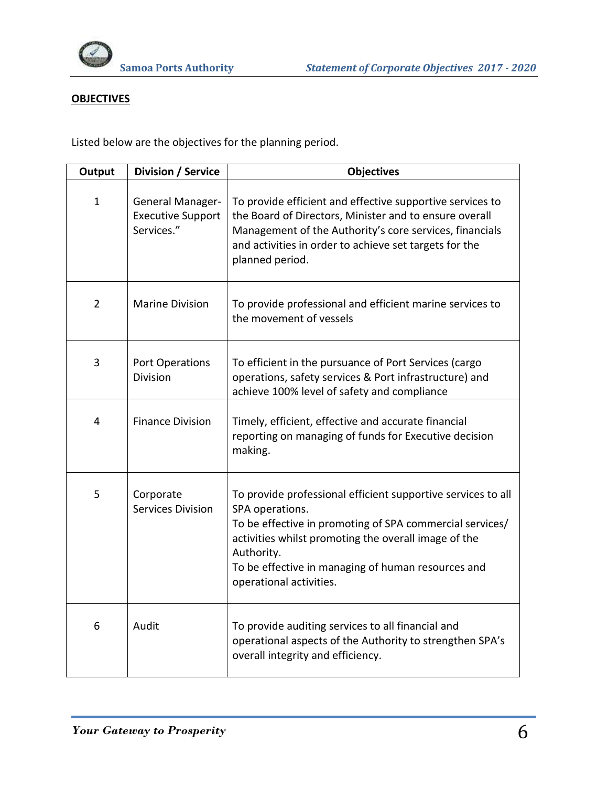

## **OBJECTIVES**

Listed below are the objectives for the planning period.

| Output         | <b>Division / Service</b>                                  | <b>Objectives</b>                                                                                                                                                                                                                                                                                  |
|----------------|------------------------------------------------------------|----------------------------------------------------------------------------------------------------------------------------------------------------------------------------------------------------------------------------------------------------------------------------------------------------|
| $\mathbf{1}$   | General Manager-<br><b>Executive Support</b><br>Services." | To provide efficient and effective supportive services to<br>the Board of Directors, Minister and to ensure overall<br>Management of the Authority's core services, financials<br>and activities in order to achieve set targets for the<br>planned period.                                        |
| $\overline{2}$ | <b>Marine Division</b>                                     | To provide professional and efficient marine services to<br>the movement of vessels                                                                                                                                                                                                                |
| 3              | <b>Port Operations</b><br><b>Division</b>                  | To efficient in the pursuance of Port Services (cargo<br>operations, safety services & Port infrastructure) and<br>achieve 100% level of safety and compliance                                                                                                                                     |
| 4              | <b>Finance Division</b>                                    | Timely, efficient, effective and accurate financial<br>reporting on managing of funds for Executive decision<br>making.                                                                                                                                                                            |
| 5              | Corporate<br><b>Services Division</b>                      | To provide professional efficient supportive services to all<br>SPA operations.<br>To be effective in promoting of SPA commercial services/<br>activities whilst promoting the overall image of the<br>Authority.<br>To be effective in managing of human resources and<br>operational activities. |
| 6              | Audit                                                      | To provide auditing services to all financial and<br>operational aspects of the Authority to strengthen SPA's<br>overall integrity and efficiency.                                                                                                                                                 |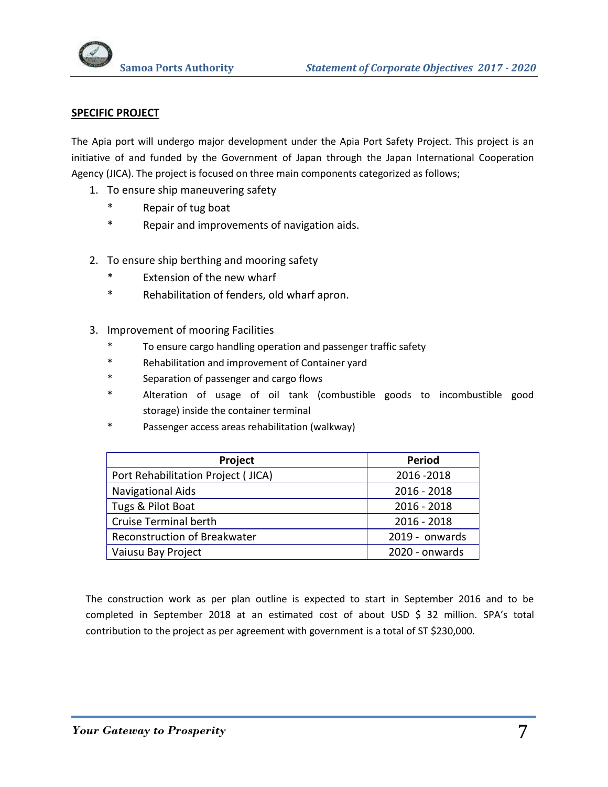

#### **SPECIFIC PROJECT**

The Apia port will undergo major development under the Apia Port Safety Project. This project is an initiative of and funded by the Government of Japan through the Japan International Cooperation Agency (JICA). The project is focused on three main components categorized as follows;

- 1. To ensure ship maneuvering safety
	- \* Repair of tug boat
	- \* Repair and improvements of navigation aids.
- 2. To ensure ship berthing and mooring safety
	- \* Extension of the new wharf
	- \* Rehabilitation of fenders, old wharf apron.
- 3. Improvement of mooring Facilities
	- To ensure cargo handling operation and passenger traffic safety
	- \* Rehabilitation and improvement of Container yard
	- \* Separation of passenger and cargo flows
	- \* Alteration of usage of oil tank (combustible goods to incombustible good storage) inside the container terminal
	- Passenger access areas rehabilitation (walkway)

| Project                            | <b>Period</b>  |
|------------------------------------|----------------|
| Port Rehabilitation Project (JICA) | 2016-2018      |
| <b>Navigational Aids</b>           | $2016 - 2018$  |
| Tugs & Pilot Boat                  | $2016 - 2018$  |
| <b>Cruise Terminal berth</b>       | $2016 - 2018$  |
| Reconstruction of Breakwater       | 2019 - onwards |
| Vaiusu Bay Project                 | 2020 - onwards |

The construction work as per plan outline is expected to start in September 2016 and to be completed in September 2018 at an estimated cost of about USD \$ 32 million. SPA's total contribution to the project as per agreement with government is a total of ST \$230,000.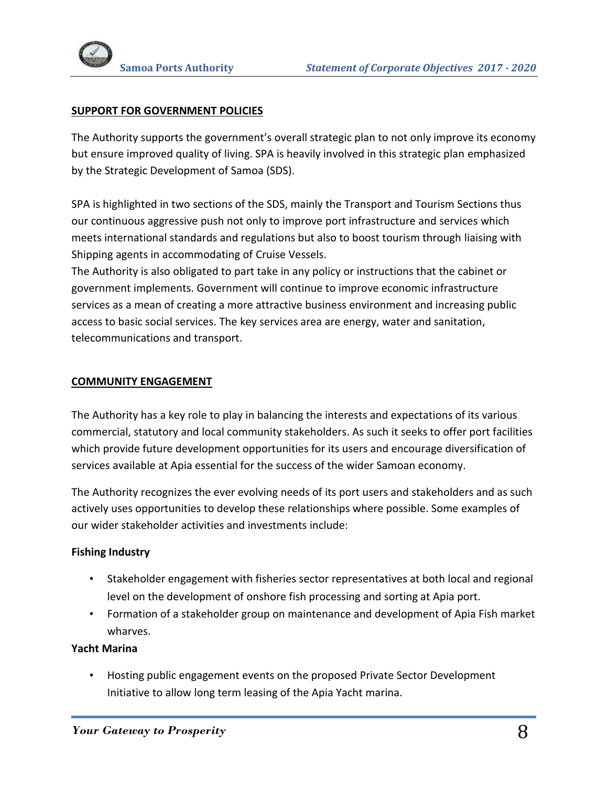

## **SUPPORT FOR GOVERNMENT POLICIES**

The Authority supports the government's overall strategic plan to not only improve its economy but ensure improved quality of living. SPA is heavily involved in this strategic plan emphasized by the Strategic Development of Samoa (SDS).

SPA is highlighted in two sections of the SDS, mainly the Transport and Tourism Sections thus our continuous aggressive push not only to improve port infrastructure and services which meets international standards and regulations but also to boost tourism through liaising with Shipping agents in accommodating of Cruise Vessels.

The Authority is also obligated to part take in any policy or instructions that the cabinet or government implements. Government will continue to improve economic infrastructure services as a mean of creating a more attractive business environment and increasing public access to basic social services. The key services area are energy, water and sanitation, telecommunications and transport.

### **COMMUNITY ENGAGEMENT**

The Authority has a key role to play in balancing the interests and expectations of its various commercial, statutory and local community stakeholders. As such it seeks to offer port facilities which provide future development opportunities for its users and encourage diversification of services available at Apia essential for the success of the wider Samoan economy.

The Authority recognizes the ever evolving needs of its port users and stakeholders and as such actively uses opportunities to develop these relationships where possible. Some examples of our wider stakeholder activities and investments include:

### **Fishing Industry**

- Stakeholder engagement with fisheries sector representatives at both local and regional level on the development of onshore fish processing and sorting at Apia port.
- Formation of a stakeholder group on maintenance and development of Apia Fish market wharves.

#### **Yacht Marina**

• Hosting public engagement events on the proposed Private Sector Development Initiative to allow long term leasing of the Apia Yacht marina.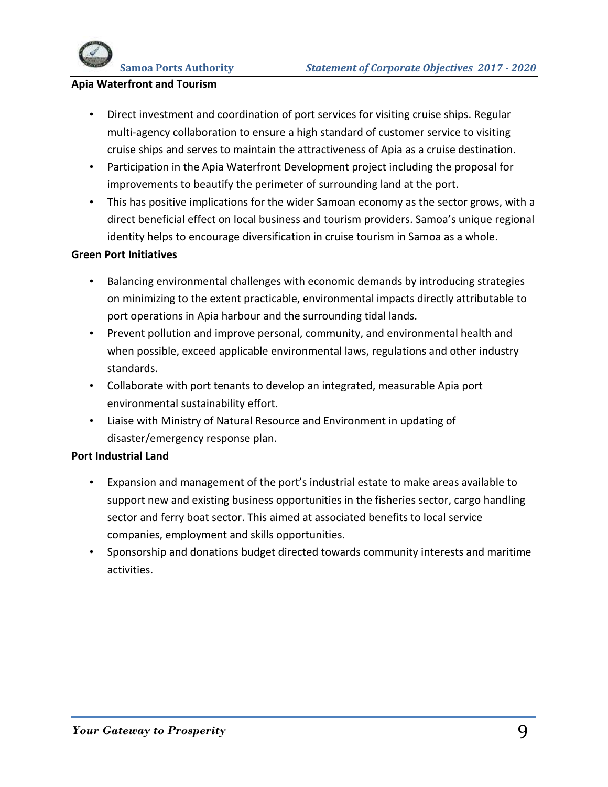# **Apia Waterfront and Tourism**

- Direct investment and coordination of port services for visiting cruise ships. Regular multi-agency collaboration to ensure a high standard of customer service to visiting cruise ships and serves to maintain the attractiveness of Apia as a cruise destination.
- Participation in the Apia Waterfront Development project including the proposal for improvements to beautify the perimeter of surrounding land at the port.
- This has positive implications for the wider Samoan economy as the sector grows, with a direct beneficial effect on local business and tourism providers. Samoa's unique regional identity helps to encourage diversification in cruise tourism in Samoa as a whole.

### **Green Port Initiatives**

- Balancing environmental challenges with economic demands by introducing strategies on minimizing to the extent practicable, environmental impacts directly attributable to port operations in Apia harbour and the surrounding tidal lands.
- Prevent pollution and improve personal, community, and environmental health and when possible, exceed applicable environmental laws, regulations and other industry standards.
- Collaborate with port tenants to develop an integrated, measurable Apia port environmental sustainability effort.
- Liaise with Ministry of Natural Resource and Environment in updating of disaster/emergency response plan.

## **Port Industrial Land**

- Expansion and management of the port's industrial estate to make areas available to support new and existing business opportunities in the fisheries sector, cargo handling sector and ferry boat sector. This aimed at associated benefits to local service companies, employment and skills opportunities.
- Sponsorship and donations budget directed towards community interests and maritime activities.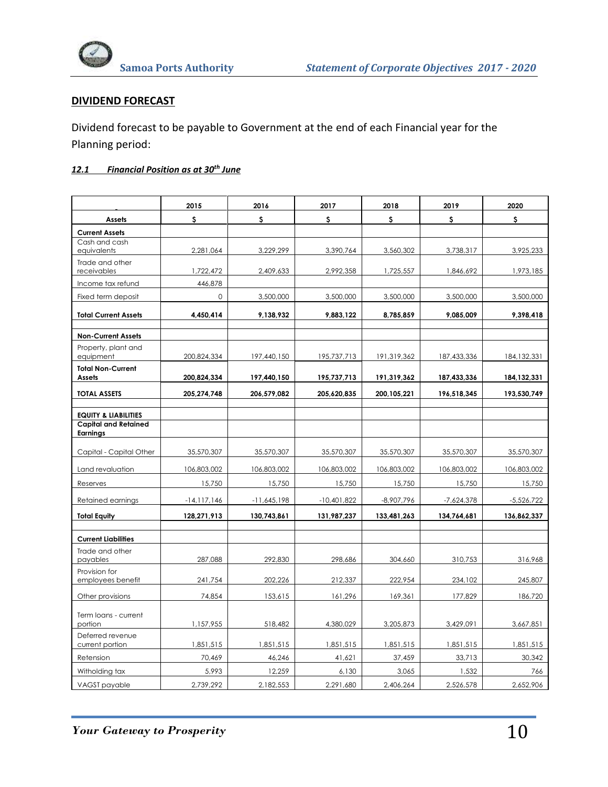

# **DIVIDEND FORECAST**

Dividend forecast to be payable to Government at the end of each Financial year for the Planning period:

# *12.1 Financial Position as at 30th June*

|                                                | 2015            | 2016          | 2017          | 2018         | 2019         | 2020          |
|------------------------------------------------|-----------------|---------------|---------------|--------------|--------------|---------------|
| <b>Assets</b>                                  | s.              | s             | \$            | \$           | S.           | s             |
| <b>Current Assets</b>                          |                 |               |               |              |              |               |
| Cash and cash<br>equivalents                   | 2,281,064       | 3,229,299     | 3,390,764     | 3,560,302    | 3,738,317    | 3,925,233     |
| Trade and other<br>receivables                 | 1,722,472       | 2,409,633     | 2,992,358     | 1,725,557    | 1,846,692    | 1,973,185     |
| Income tax refund                              | 446,878         |               |               |              |              |               |
| Fixed term deposit                             | $\circ$         | 3,500,000     | 3,500,000     | 3,500,000    | 3,500,000    | 3,500,000     |
| <b>Total Current Assets</b>                    | 4,450,414       | 9,138,932     | 9,883,122     | 8,785,859    | 9,085,009    | 9,398,418     |
| <b>Non-Current Assets</b>                      |                 |               |               |              |              |               |
| Property, plant and<br>equipment               | 200,824,334     | 197,440,150   | 195,737,713   | 191,319,362  | 187,433,336  | 184, 132, 331 |
| <b>Total Non-Current</b><br>Assets             | 200,824,334     | 197,440,150   | 195,737,713   | 191,319,362  | 187,433,336  | 184, 132, 331 |
| <b>TOTAL ASSETS</b>                            | 205,274,748     | 206,579,082   | 205,620,835   | 200,105,221  | 196,518,345  | 193,530,749   |
| <b>EQUITY &amp; LIABILITIES</b>                |                 |               |               |              |              |               |
| <b>Capital and Retained</b><br><b>Earnings</b> |                 |               |               |              |              |               |
| Capital - Capital Other                        | 35,570,307      | 35,570,307    | 35,570,307    | 35,570,307   | 35,570,307   | 35,570,307    |
| Land revaluation                               | 106,803,002     | 106,803,002   | 106,803,002   | 106,803,002  | 106,803,002  | 106,803,002   |
| Reserves                                       | 15,750          | 15,750        | 15,750        | 15,750       | 15,750       | 15,750        |
| Retained earnings                              | $-14, 117, 146$ | $-11,645,198$ | $-10,401,822$ | $-8,907,796$ | $-7,624,378$ | $-5,526,722$  |
| <b>Total Equity</b>                            | 128,271,913     | 130,743,861   | 131,987,237   | 133,481,263  | 134,764,681  | 136,862,337   |
| <b>Current Liabilities</b>                     |                 |               |               |              |              |               |
| Trade and other<br>payables                    | 287,088         | 292,830       | 298,686       | 304,660      | 310,753      | 316,968       |
| Provision for<br>employees benefit             | 241,754         | 202,226       | 212,337       | 222,954      | 234,102      | 245,807       |
| Other provisions                               | 74,854          | 153,615       | 161,296       | 169,361      | 177,829      | 186,720       |
| Term loans - current<br>portion                | 1,157,955       | 518,482       | 4,380,029     | 3,205,873    | 3,429,091    | 3,667,851     |
| Deferred revenue<br>current portion            | 1,851,515       | 1,851,515     | 1,851,515     | 1,851,515    | 1,851,515    | 1,851,515     |
| Retension                                      | 70,469          | 46,246        | 41,621        | 37,459       | 33,713       | 30,342        |
| Witholding tax                                 | 5,993           | 12,259        | 6,130         | 3,065        | 1,532        | 766           |
| VAGST payable                                  | 2,739,292       | 2,182,553     | 2,291,680     | 2,406,264    | 2,526,578    | 2,652,906     |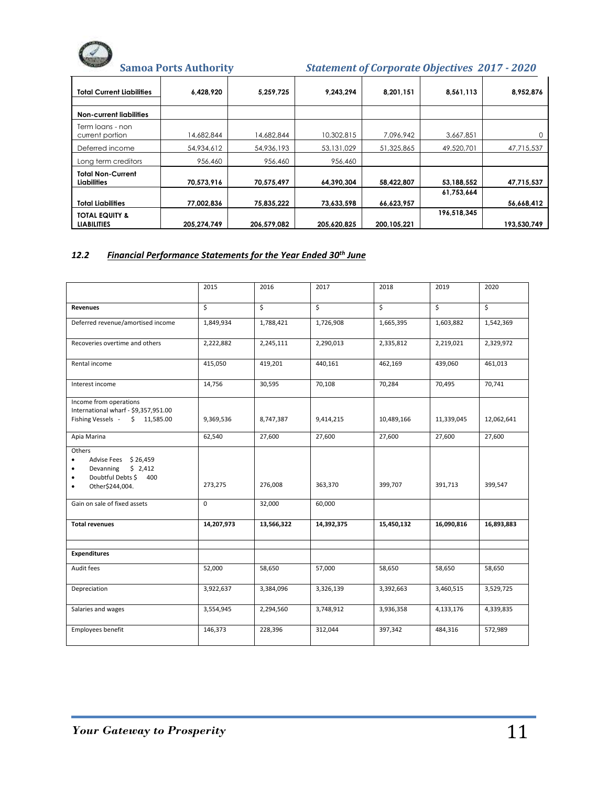# **Samoa Ports Authority** *Statement of Corporate Objectives 2017 - 2020*

| <b>Total Current Liabilities</b>               | 6,428,920   | 5,259,725   | 9,243,294   | 8,201,151   | 8,561,113   | 8,952,876   |
|------------------------------------------------|-------------|-------------|-------------|-------------|-------------|-------------|
| <b>Non-current liabilities</b>                 |             |             |             |             |             |             |
| Term loans - non<br>current portion            | 14,682,844  | 14,682,844  | 10,302,815  | 7,096,942   | 3,667,851   |             |
| Deferred income                                | 54,934,612  | 54,936,193  | 53,131,029  | 51,325,865  | 49,520,701  | 47,715,537  |
| Long term creditors                            | 956,460     | 956,460     | 956,460     |             |             |             |
| <b>Total Non-Current</b><br><b>Liabilities</b> | 70,573,916  | 70,575,497  | 64,390,304  | 58,422,807  | 53,188,552  | 47,715,537  |
|                                                |             |             |             |             | 61,753,664  |             |
| <b>Total Liabilities</b>                       | 77,002,836  | 75,835,222  | 73,633,598  | 66,623,957  |             | 56,668,412  |
| <b>TOTAL EQUITY &amp;</b>                      |             |             |             |             | 196,518,345 |             |
| <b>LIABILITIES</b>                             | 205,274,749 | 206,579,082 | 205,620,825 | 200.105.221 |             | 193,530,749 |

#### *12.2 Financial Performance Statements for the Year Ended 30th June*

|                                                                                                                                               | 2015       | 2016       | 2017       | 2018       | 2019       | 2020       |
|-----------------------------------------------------------------------------------------------------------------------------------------------|------------|------------|------------|------------|------------|------------|
| <b>Revenues</b>                                                                                                                               | \$         | \$         | \$         | \$         | \$         | \$         |
| Deferred revenue/amortised income                                                                                                             | 1,849,934  | 1,788,421  | 1,726,908  | 1,665,395  | 1,603,882  | 1,542,369  |
| Recoveries overtime and others                                                                                                                | 2,222,882  | 2,245,111  | 2,290,013  | 2,335,812  | 2,219,021  | 2,329,972  |
| Rental income                                                                                                                                 | 415,050    | 419,201    | 440,161    | 462,169    | 439,060    | 461,013    |
| Interest income                                                                                                                               | 14,756     | 30,595     | 70,108     | 70,284     | 70,495     | 70,741     |
| Income from operations<br>International wharf - \$9,357,951.00<br>Fishing Vessels - \$ 11,585.00                                              | 9,369,536  | 8,747,387  | 9,414,215  | 10,489,166 | 11,339,045 | 12,062,641 |
| Apia Marina                                                                                                                                   | 62,540     | 27,600     | 27,600     | 27,600     | 27,600     | 27,600     |
| Others<br>Advise Fees \$26,459<br>$\bullet$<br>Devanning<br>\$2,412<br>٠<br>Doubtful Debts \$400<br>$\bullet$<br>Other\$244,004.<br>$\bullet$ | 273,275    | 276,008    | 363,370    | 399,707    | 391,713    | 399,547    |
| Gain on sale of fixed assets                                                                                                                  | $\Omega$   | 32,000     | 60,000     |            |            |            |
| <b>Total revenues</b>                                                                                                                         | 14,207,973 | 13,566,322 | 14,392,375 | 15,450,132 | 16,090,816 | 16,893,883 |
| <b>Expenditures</b>                                                                                                                           |            |            |            |            |            |            |
| Audit fees                                                                                                                                    | 52,000     | 58,650     | 57,000     | 58,650     | 58,650     | 58,650     |
| Depreciation                                                                                                                                  | 3,922,637  | 3,384,096  | 3,326,139  | 3,392,663  | 3,460,515  | 3,529,725  |
| Salaries and wages                                                                                                                            | 3,554,945  | 2,294,560  | 3,748,912  | 3,936,358  | 4,133,176  | 4,339,835  |
| Employees benefit                                                                                                                             | 146,373    | 228,396    | 312,044    | 397,342    | 484,316    | 572,989    |